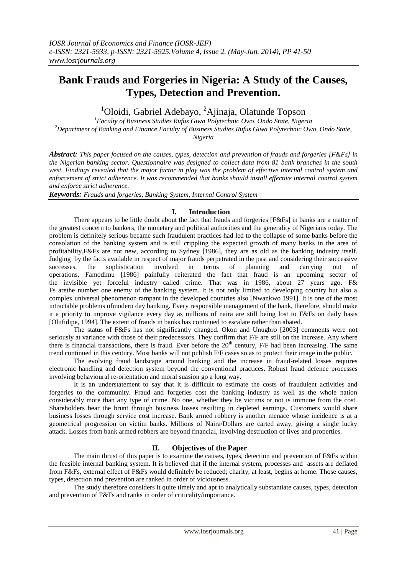# **Bank Frauds and Forgeries in Nigeria: A Study of the Causes, Types, Detection and Prevention.**

<sup>1</sup>Oloidi, Gabriel Adebayo, <sup>2</sup>Ajinaja, Olatunde Topson

*<sup>1</sup>Faculty of Business Studies Rufus Giwa Polytechnic Owo, Ondo State, Nigeria <sup>2</sup>Department of Banking and Finance Faculty of Business Studies Rufus Giwa Polytechnic Owo, Ondo State, Nigeria*

*Abstract: This paper focused on the causes, types, detection and prevention of frauds and forgeries [F&Fs] in the Nigerian banking sector. Questionnaire was designed to collect data from 81 bank branches in the south west. Findings revealed that the major factor in play was the problem of effective internal control system and enforcement of strict adherence. It was recommended that banks should install effective internal control system and enforce strict adherence.*

*Keywords: Frauds and forgeries, Banking System, Internal Control System*

# **I. Introduction**

There appears to be little doubt about the fact that frauds and forgeries [F&Fs] in banks are a matter of the greatest concern to bankers, the monetary and political authorities and the generality of Nigerians today. The problem is definitely serious became such fraudulent practices had led to the collapse of some banks before the consolation of the banking system and is still crippling the expected growth of many banks in the area of profitability.F&Fs are not new, according to Sydney [1986], they are as old as the banking industry itself. Judging by the facts available in respect of major frauds perpetrated in the past and considering their successive successes, the sophistication involved in terms of planning and carrying out of operations, Famodimu [1986] painfully reiterated the fact that fraud is an upcoming sector of the invisible yet forceful industry called crime. That was in 1986, about 27 years ago. F& Fs arethe number one enemy of the banking system. It is not only limited to developing country but also a complex universal phenomenon rampant in the developed countries also [Nwankwo 1991]. It is one of the most intractable problems ofmodern day banking. Every responsible management of the bank, therefore, should make it a priority to improve vigilance every day as millions of naira are still being lost to F&Fs on daily basis [Olufidipe, 1994]. The extent of frauds in banks has continued to escalate rather than abated.

The status of F&Fs has not significantly changed. Okon and Unugbro [2003] comments were not seriously at variance with those of their predecessors. They confirm that F/F are still on the increase. Any where there is financial transactions, there is fraud. Ever before the  $20<sup>th</sup>$  century, F/F had been increasing. The same trend continued in this century. Most banks will not publish F/F cases so as to protect their image in the public.

The evolving fraud landscape around banking and the increase in fraud-related losses requires electronic handling and detection system beyond the conventional practices. Robust fraud defence processes involving behavioural re-orientation and moral suasion go a long way.

It is an understatement to say that it is difficult to estimate the costs of fraudulent activities and forgeries to the community. Fraud and forgeries cost the banking industry as well as the whole nation considerably more than any type of crime. No one, whether they be victims or not is immune from the cost. Shareholders bear the brunt through business losses resulting in depleted earnings. Customers would share business losses through service cost increase. Bank armed robbery is another menace whose incidence is at a geometrical progression on victim banks. Millions of Naira/Dollars are carted away, giving a single lucky attack. Losses from bank armed robbers are beyond financial, involving destruction of lives and properties.

# **II. Objectives of the Paper**

The main thrust of this paper is to examine the causes, types, detection and prevention of F&Fs within the feasible internal banking system. It is believed that if the internal system, processes and assets are deflated from F&Fs, external effect of F&Fs would definitely be reduced; charity, at least, begins at home. Those causes, types, detection and prevention are ranked in order of viciousness.

The study therefore considers it quite timely and apt to analytically substantiate causes, types, detection and prevention of F&Fs and ranks in order of criticality/importance.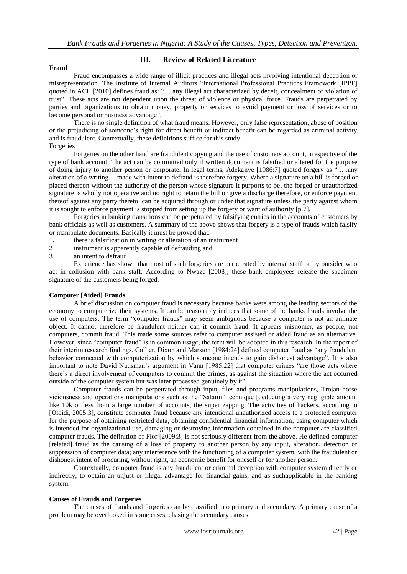#### **Fraud**

# **III. Review of Related Literature**

Fraud encompasses a wide range of illicit practices and illegal acts involving intentional deception or misrepresentation. The Institute of Internal Auditors "International Professional Practices Framework [IPPF] quoted in ACL [2010] defines fraud as: "….any illegal act characterized by deceit, concealment or violation of trust". These acts are not dependent upon the threat of violence or physical force. Frauds are perpetrated by parties and organizations to obtain money, property or services to avoid payment or loss of services or to become personal or business advantage".

There is no single definition of what fraud means. However, only false representation, abuse of position or the prejudicing of someone's right for direct benefit or indirect benefit can be regarded as criminal activity and is fraudulent. Contextually, these definitions suffice for this study. Forgeries

Forgeries on the other hand are fraudulent copying and the use of customers account, irrespective of the type of bank account. The act can be committed only if written document is falsified or altered for the purpose of doing injury to another person or corporate. In legal terms, Adekanye [1986:7] quoted forgery as ":….any alteration of a writing….made with intent to defraud is therefore forgery. Where a signature on a bill is forged or placed thereon without the authority of the person whose signature it purports to be, the forged or unauthorized signature is wholly not operative and no right to retain the bill or give a discharge therefore, or enforce payment thereof against any party thereto, can be acquired through or under that signature unless the party against whom it is sought to enforce payment is stopped from setting up the forgery or want of authority [p.7].

Forgeries in banking transitions can be perpetrated by falsifying entries in the accounts of customers by bank officials as well as customers. A summary of the above shows that forgery is a type of frauds which falsify or manipulate documents. Basically it must be proved that:

- 1. there is falsification in writing or alteration of an instrument
- 2 instrument is apparently capable of defrauding and
- 3 an intent to defraud.

Experience has shown that most of such forgeries are perpetrated by internal staff or by outsider who act in collusion with bank staff. According to Nwaze [2008], these bank employees release the specimen signature of the customers being forged.

## **Computer [Aided] Frauds**

A brief discussion on computer fraud is necessary because banks were among the leading sectors of the economy to computerize their systems. It can be reasonably induces that some of the banks frauds involve the use of computers. The term "computer frauds" may seem ambiguous because a computer is not an animate object. It cannot therefore be fraudulent neither can it commit fraud. It appears misnomer, as people, not computers, commit fraud. This made some sources refer to computer assisted or aided fraud as an alternative. However, since "computer fraud" is in common usage, the term will be adopted in this research. In the report of their interim research findings, Collier, Dixon and Marston [1984:24] defined computer fraud as "any fraudulent behavior connected with computerization by which someone intends to gain dishonest advantage". It is also important to note David Nausman's argument in Vann [1985:22] that computer crimes "are those acts where there's a direct involvement of computers to commit the crimes, as against the situation where the act occurred outside of the computer system but was later processed genuinely by it".

Computer frauds can be perpetrated through input, files and programs manipulations, Trojan horse viciousness and operations manipulations such as the "Salami" technique [deducting a very negligible amount like 10k or less from a large number of accounts, the super zapping. The activities of hackers, according to [Oloidi, 2005:3], constitute computer fraud because any intentional unauthorized access to a protected computer for the purpose of obtaining restricted data, obtaining confidential financial information, using computer which is intended for organizational use, damaging or destroying information contained in the computer are classified computer frauds. The definition of Flor [2009:3] is not seriously different from the above. He defined computer [related] fraud as the causing of a loss of property to another person by any input, alteration, detection or suppression of computer data; any interference with the functioning of a computer system, with the fraudulent or dishonest intent of procuring, without right, an economic benefit for oneself or for another person.

Contextually, computer fraud is any fraudulent or criminal deception with computer system directly or indirectly, to obtain an unjust or illegal advantage for financial gains, and as suchapplicable in the banking system.

## **Causes of Frauds and Forgeries**

The causes of frauds and forgeries can be classified into primary and secondary. A primary cause of a problem may be overlooked in some cases, chasing the secondary causes.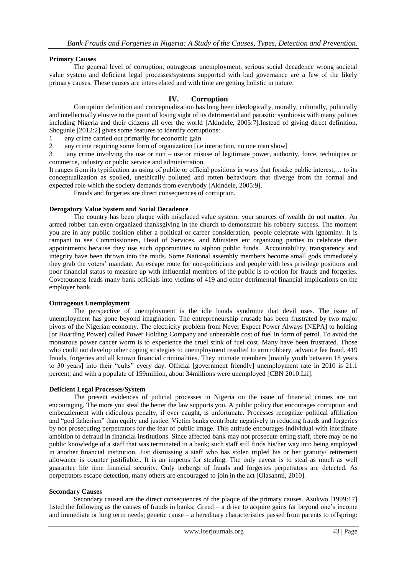## **Primary Causes**

The general level of corruption, outrageous unemployment, serious social decadence wrong societal value system and deficient legal processes/systems supported with bad governance are a few of the likely primary causes. These causes are inter-related and with time are getting holistic in nature.

# **IV. Corruption**

Corruption definition and conceptualization has long been ideologically, morally, culturally, politically and intellectually elusive to the point of losing sight of its detrimental and parasitic symbiosis with many polities including Nigeria and their citizens all over the world [Akindele, 2005:7].Instead of giving direct definition, Shogunle [2012:2] gives some features to identify corruptions:

- 1 any crime carried out primarily for economic gain<br>2 any crime requiring some form of organization [i.e.
- any crime requiring some form of organization [i.e interaction, no one man show]

3 any crime involving the use or non – use or misuse of legitimate power, authority, force, techniques or commerce, industry or public service and administration.

It ranges from its typification as using of public or official positions in ways that forsake public interest,… to its conceptualization as spoiled, unethically polluted and rotten behaviours that diverge from the formal and expected role which the society demands from everybody [Akindele, 2005:9].

Frauds and forgeries are direct consequences of corruption.

## **Derogatory Value System and Social Decadence**

The country has been plaque with misplaced value system; your sources of wealth do not matter. An armed robber can even organized thanksgiving in the church to demonstrate his robbery success. The moment you are in any public position either a political or career consideration, people celebrate with ignominy. It is rampant to see Commissioners, Head of Services, and Ministers etc organizing parties to celebrate their appointments because they use such opportunities to siphon public funds.. Accountability, transparency and integrity have been thrown into the muds. Some National assembly members become small gods immediately they grab the voters' mandate. An escape route for non-politicians and people with less privilege positions and poor financial status to measure up with influential members of the public is to option for frauds and forgeries. Covetousness leads many bank officials into victims of 419 and other detrimental financial implications on the employer bank.

## **Outrageous Unemployment**

The perspective of unemployment is the idle hands syndrome that devil uses. The issue of unemployment has gone beyond imagination. The entrepreneurship crusade has been frustrated by two major pivots of the Nigerian economy. The electricity problem from Never Expect Power Always [NEPA] to holding [or Hoarding Power] called Power Holding Company and unbearable cost of fuel in form of petrol. To avoid the monstrous power cancer worm is to experience the cruel stink of fuel cost. Many have been frustrated. Those who could not develop other coping strategies to unemployment resulted to arm robbery, advance fee fraud. 419 frauds, forgeries and all known financial criminalities. They intimate members [mainly youth between 18 years to 30 years] into their "cults" every day. Official [government friendly] unemployment rate in 2010 is 21.1 percent; and with a populate of 159million, about 34millions were unemployed [CBN 2010:Lii].

## **Deficient Legal Processes/System**

The present evidences of judicial processes in Nigeria on the issue of financial crimes are not encouraging. The more you steal the better the law supports you. A public policy that encourages corruption and embezzlement with ridiculous penalty, if ever caught, is unfortunate. Processes recognize political affiliation and "god fatherism" than equity and justice. Victim banks contribute negatively in reducing frauds and forgeries by not prosecuting perpetrators for the fear of public image. This attitude encourages individual with inordinate ambition to defraud in financial institutions. Since affected bank may not prosecute erring staff, there may be no public knowledge of a staff that was terminated in a bank; such staff still finds his/her way into being employed in another financial institution. Just dismissing a staff who has stolen tripled his or her gratuity/ retirement allowance is counter justifiable.. It is an impetus for stealing. The only caveat is to steal as much as well guarantee life time financial security. Only icebergs of frauds and forgeries perpetrators are detected. As perpetrators escape detection, many others are encouraged to join in the act [Olasanmi, 2010].

## **Secondary Causes**

Secondary caused are the direct consequences of the plaque of the primary causes. Asukwo [1999:17] listed the following as the causes of frauds in banks; Greed – a drive to acquire gains far beyond one's income and immediate or long term needs; genetic cause – a hereditary characteristics passed from parents to offspring: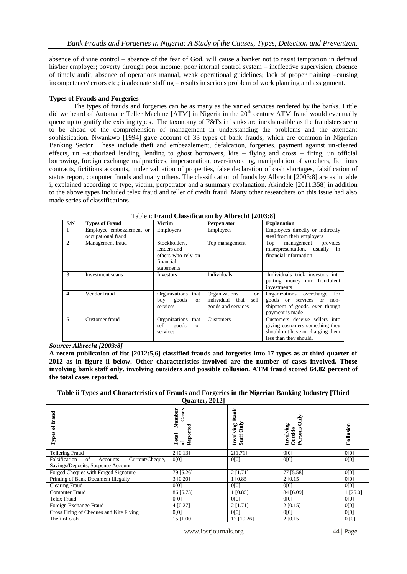absence of divine control – absence of the fear of God, will cause a banker not to resist temptation in defraud his/her employer; poverty through poor income; poor internal control system – ineffective supervision, absence of timely audit, absence of operations manual, weak operational guidelines; lack of proper training –causing incompetence/ errors etc.; inadequate staffing – results in serious problem of work planning and assignment.

#### **Types of Frauds and Forgeries**

The types of frauds and forgeries can be as many as the varied services rendered by the banks. Little did we heard of Automatic Teller Machine [ATM] in Nigeria in the 20<sup>th</sup> century ATM fraud would eventually queue up to gratify the existing types. The taxonomy of F&Fs in banks are inexhaustible as the fraudsters seem to be ahead of the comprehension of management in understanding the problems and the attendant sophistication. Nwankwo [1994] gave account of 33 types of bank frauds, which are common in Nigerian Banking Sector. These include theft and embezzlement, defalcation, forgeries, payment against un-cleared effects, un –authorized lending, lending to ghost borrowers, kite – flying and cross – firing, un official borrowing, foreign exchange malpractices, impersonation, over-invoicing, manipulation of vouchers, fictitious contracts, fictitious accounts, under valuation of properties, false declaration of cash shortages, falsification of status report, computer frauds and many others. The classification of frauds by Albrecht [2003:8] are as in table i, explained according to type, victim, perpetrator and a summary explanation. Akindele [2011:358] in addition to the above types included telex fraud and teller of credit fraud. Many other researchers on this issue had also made series of classifications.

| S/N            | <b>Types of Fraud</b>                          | Victim                                                                        | Perpetrator                                                                     | <b>Explanation</b>                                                                                                              |
|----------------|------------------------------------------------|-------------------------------------------------------------------------------|---------------------------------------------------------------------------------|---------------------------------------------------------------------------------------------------------------------------------|
|                | Employee embezzlement or<br>occupational fraud | Employers                                                                     | <b>Employees</b>                                                                | Employees directly or indirectly<br>steal from their employers                                                                  |
| $\overline{2}$ | Management fraud                               | Stockholders,<br>lenders and<br>others who rely on<br>financial<br>statements | Top management                                                                  | Top management provides<br>misrepresentation, usually in<br>financial information                                               |
| 3              | Investment scans                               | Investors                                                                     | Individuals                                                                     | Individuals trick investors into<br>putting money into fraudulent<br>investments                                                |
| $\overline{4}$ | Vendor fraud                                   | Organizations<br>that<br>buy goods<br><sub>or</sub><br>services               | Organizations<br><sub>or</sub><br>individual that<br>sell<br>goods and services | Organizations overcharge for<br>goods or services or non-<br>shipment of goods, even though<br>payment is made                  |
| 5              | Customer fraud                                 | Organizations<br>that<br>sell goods<br><sub>or</sub><br>services              | Customers                                                                       | Customers deceive sellers into<br>giving customers something they<br>should not have or charging them<br>less than they should. |

Table i: **Fraud Classification by Albrecht [2003:8]**

*Source: Albrecht [2003:8]*

**A recent publication of fitc [2012:5,6] classified frauds and forgeries into 17 types as at third quarter of 2012 as in figure ii below. Other characteristics involved are the number of cases involved. Those involving bank staff only. involving outsiders and possible collusion. ATM fraud scored 64.82 percent of the total cases reported.**

**Table ii Types and Characteristics of Frauds and Forgeries in the Nigerian Banking Industry [Third Quarter, 2012]**

|                                                     | $\mathbf{v}$ and $\mathbf{v}$ , so $\mathbf{v}$       |                                 |                                         |                  |
|-----------------------------------------------------|-------------------------------------------------------|---------------------------------|-----------------------------------------|------------------|
| of fraud<br><b>Types</b>                            | Number<br>Cases<br>Repor<br>Total<br>$\tilde{\sigma}$ | Bank<br>Staff Only<br>Involving | Only<br>Involving<br>Outside<br>Persons | Collusion        |
| <b>Tellering Fraud</b>                              | 2 [0.13]                                              | 2[1.71]                         | 0[0]                                    | 0[0]             |
| of<br>Falsification<br>Current/Cheque,<br>Accounts: | 0[0]                                                  | 0[0]                            | 0[0]                                    | 0[0]             |
| Savings/Deposits, Suspense Account                  |                                                       |                                 |                                         |                  |
| Forged Cheques with Forged Signature                | 79 [5.26]                                             | $2$ [1.71]                      | 77 [5.58]                               | 0[0]             |
| Printing of Bank Document Illegally                 | 3 [0.20]                                              | 1 [0.85]                        | 2 [0.15]                                | 0[0]             |
| <b>Clearing Fraud</b>                               | 0[0]                                                  | 0[0]                            | 0[0]                                    | 0[0]             |
| Computer Fraud                                      | 86 [5.73]                                             | 1 [0.85]                        | 84 [6.09]                               | $1$ [25.0]       |
| <b>Telex Fraud</b>                                  | 0[0]                                                  | 0[0]                            | 0[0]                                    | 0[0]             |
| Foreign Exchange Fraud                              | 4 [0.27]                                              | $2$ [1.71]                      | 2 [0.15]                                | 0[0]             |
| Cross Firing of Cheques and Kite Flying             | 0[0]                                                  | 0[0]                            | 0[0]                                    | 0[0]             |
| Theft of cash                                       | 15 [1.00]                                             | 12 [10.26]                      | $2$ [0.15]                              | 0 <sub>[0]</sub> |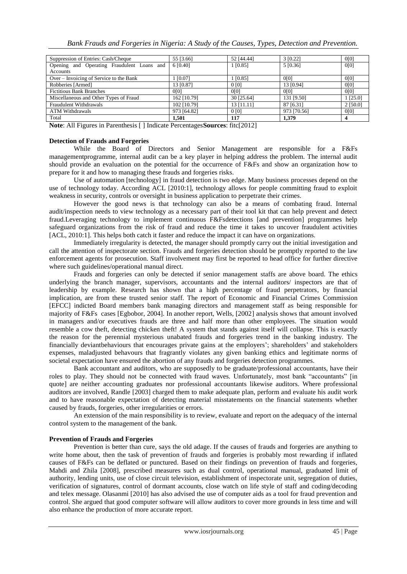| Bank Frauds and Forgeries in Nigeria: A Study of the Causes, Types, Detection and Prevention. |  |  |  |
|-----------------------------------------------------------------------------------------------|--|--|--|
|                                                                                               |  |  |  |

| Suppression of Entries: Cash/Cheque        | 55 [3.66]   | 52 [44.44]       | 3 [0.22]    | 0[0]     |
|--------------------------------------------|-------------|------------------|-------------|----------|
| Opening and Operating Fraudulent Loans and | 6 [0.40]    | 1 [0.85]         | 5 [0.36]    | 0[0]     |
| Accounts                                   |             |                  |             |          |
| Over – Invoicing of Service to the Bank    | 1 [0.07]    | 1 [0.85]         | 0[0]        | 0[0]     |
| Robberies [Armed]                          | 13 [0.87]   | 0 <sub>[0]</sub> | 13 [0.94]   | 0[0]     |
| <b>Fictitious Bank Branches</b>            | 0[0]        | 0[0]             | 0[0]        | 0[0]     |
| Miscellaneous and Other Types of Fraud     | 162 [10.79] | 30 [25.64]       | 131 [9.50]  | 1 [25.0] |
| <b>Fraudulent Withdrawals</b>              | 102 [10.79] | 13 [11.11]       | 87 [6.31]   | 2 [50.0] |
| <b>ATM Withdrawals</b>                     | 973 [64.82] | 0 <sub>[0]</sub> | 973 [70.56] | 0[0]     |
| Total                                      | 1,501       | 117              | 1.379       |          |

**Note**: All Figures in Parenthesis [ ] Indicate Percentages**Sources**: fitc[2012]

#### **Detection of Frauds and Forgeries**

While the Board of Directors and Senior Management are responsible for a F&Fs managementprogramme, internal audit can be a key player in helping address the problem. The internal audit should provide an evaluation on the potential for the occurrence of F&Fs and show an organization how to prepare for it and how to managing these frauds and forgeries risks.

Use of automation [technology] in fraud detection is two edge. Many business processes depend on the use of technology today. According ACL [2010:1], technology allows for people committing fraud to exploit weakness in security, controls or oversight in business application to perpetrate their crimes.

However the good news is that technology can also be a means of combating fraud. Internal audit/inspection needs to view technology as a necessary part of their tool kit that can help prevent and detect fraud.Leveraging technology to implement continuous F&Fsdetections [and prevention] programmes help safeguard organizations from the risk of fraud and reduce the time it takes to uncover fraudulent activities [ACL, 2010:1]. This helps both catch it faster and reduce the impact it can have on organizations.

Immediately irregularity is detected, the manager should promptly carry out the initial investigation and call the attention of inspectorate section. Frauds and forgeries detection should be promptly reported to the law enforcement agents for prosecution. Staff involvement may first be reported to head office for further directive where such guidelines/operational manual direct.

Frauds and forgeries can only be detected if senior management staffs are above board. The ethics underlying the branch manager, supervisors, accountants and the internal auditors/ inspectors are that of leadership by example. Research has shown that a high percentage of fraud perpetrators, by financial implication, are from these trusted senior staff. The report of Economic and Financial Crimes Commission [EFCC] indicted Board members bank managing directors and management staff as being responsible for majority of F&Fs cases [Egbobor, 2004]. In another report, Wells, [2002] analysis shows that amount involved in managers and/or executives frauds are three and half more than other employees. The situation would resemble a cow theft, detecting chicken theft! A system that stands against itself will collapse. This is exactly the reason for the perennial mysterious unabated frauds and forgeries trend in the banking industry. The financially deviantbehaviours that encourages private gains at the employers'; shareholders' and stakeholders expenses, maladjusted behavours that fragrantly violates any given banking ethics and legitimate norms of societal expectation have ensured the abortion of any frauds and forgeries detection programmes.

Bank accountant and auditors, who are supposedly to be graduate/professional accountants, have their roles to play. They should not be connected with fraud waves. Unfortunately, most bank "accountants" [in quote] are neither accounting graduates nor professional accountants likewise auditors. Where professional auditors are involved, Randle [2003] charged them to make adequate plan, perform and evaluate his audit work and to have reasonable expectation of detecting material misstatements on the financial statements whether caused by frauds, forgeries, other irregularities or errors.

An extension of the main responsibility is to review, evaluate and report on the adequacy of the internal control system to the management of the bank.

#### **Prevention of Frauds and Forgeries**

Prevention is better than cure, says the old adage. If the causes of frauds and forgeries are anything to write home about, then the task of prevention of frauds and forgeries is probably most rewarding if inflated causes of F&Fs can be deflated or punctured. Based on their findings on prevention of frauds and forgeries, Mahdi and Zhila [2008], prescribed measures such as dual control, operational manual, graduated limit of authority, lending units, use of close circuit television, establishment of inspectorate unit, segregation of duties, verification of signatures, control of dormant accounts, close watch on life style of staff and coding/decoding and telex message. Olasanmi [2010] has also advised the use of computer aids as a tool for fraud prevention and control. She argued that good computer software will allow auditors to cover more grounds in less time and will also enhance the production of more accurate report.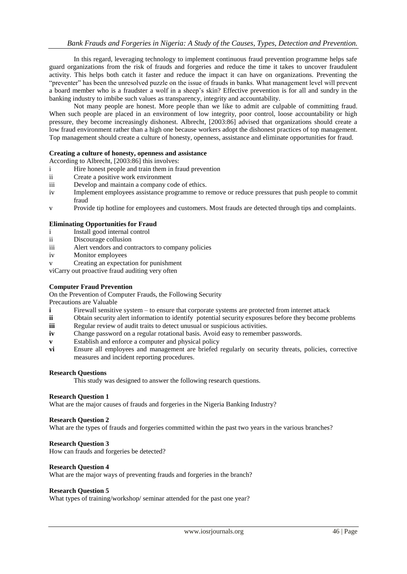In this regard, leveraging technology to implement continuous fraud prevention programme helps safe guard organizations from the risk of frauds and forgeries and reduce the time it takes to uncover fraudulent activity. This helps both catch it faster and reduce the impact it can have on organizations. Preventing the "preventer" has been the unresolved puzzle on the issue of frauds in banks. What management level will prevent a board member who is a fraudster a wolf in a sheep's skin? Effective prevention is for all and sundry in the banking industry to imbibe such values as transparency, integrity and accountability.

Not many people are honest. More people than we like to admit are culpable of committing fraud. When such people are placed in an environment of low integrity, poor control, loose accountability or high pressure, they become increasingly dishonest. Albrecht, [2003:86] advised that organizations should create a low fraud environment rather than a high one because workers adopt the dishonest practices of top management. Top management should create a culture of honesty, openness, assistance and eliminate opportunities for fraud.

## **Creating a culture of honesty, openness and assistance**

According to Albrecht, [2003:86] this involves:

- i Hire honest people and train them in fraud prevention
- ii Create a positive work environment
- iii Develop and maintain a company code of ethics.
- iv Implement employees assistance programme to remove or reduce pressures that push people to commit fraud
- v Provide tip hotline for employees and customers. Most frauds are detected through tips and complaints.

#### **Eliminating Opportunities for Fraud**

- i Install good internal control
- ii Discourage collusion
- iii Alert vendors and contractors to company policies
- iv Monitor employees
- v Creating an expectation for punishment
- viCarry out proactive fraud auditing very often

## **Computer Fraud Prevention**

On the Prevention of Computer Frauds, the Following Security

Precautions are Valuable

- **i** Firewall sensitive system to ensure that corporate systems are protected from internet attack
- **ii** Obtain security alert information to identify potential security exposures before they become problems
- **iii** Regular review of audit traits to detect unusual or suspicious activities.
- **iv** Change password on a regular rotational basis. Avoid easy to remember passwords.
- **v** Establish and enforce a computer and physical policy
- **vi** Ensure all employees and management are briefed regularly on security threats, policies, corrective measures and incident reporting procedures.

#### **Research Questions**

This study was designed to answer the following research questions.

## **Research Question 1**

What are the major causes of frauds and forgeries in the Nigeria Banking Industry?

#### **Research Question 2**

What are the types of frauds and forgeries committed within the past two years in the various branches?

## **Research Question 3**

How can frauds and forgeries be detected?

## **Research Question 4**

What are the major ways of preventing frauds and forgeries in the branch?

#### **Research Question 5**

What types of training/workshop/ seminar attended for the past one year?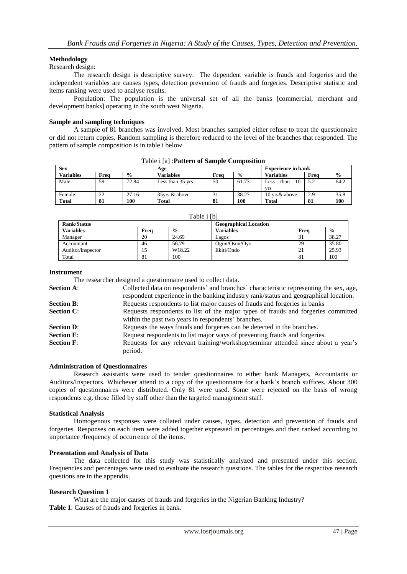## **Methodology**

Research design:

The research design is descriptive survey. The dependent variable is frauds and forgeries and the independent variables are causes types, detection prevention of frauds and forgeries. Descriptive statistic and items ranking were used to analyse results.

Population: The population is the universal set of all the banks [commercial, merchant and development banks] operating in the south west Nigeria.

#### **Sample and sampling techniques**

A sample of 81 branches was involved. Most branches sampled either refuse to treat the questionnaire or did not return copies. Random sampling is therefore reduced to the level of the branches that responded. The pattern of sample composition is in table i below

Table i [a] :**Pattern of Sample Composition**

| Table I [a] <b>.I altern of Sample Composition</b> |      |               |                  |      |               |                           |      |               |
|----------------------------------------------------|------|---------------|------------------|------|---------------|---------------------------|------|---------------|
| <b>Sex</b>                                         |      |               | Age              |      |               | <b>Experience in bank</b> |      |               |
| <b>Variables</b>                                   | Frea | $\frac{0}{0}$ | <b>Variables</b> | Freq | $\frac{6}{9}$ | <b>Variables</b>          | Frea | $\frac{6}{9}$ |
| Male                                               | 59   | 72.84         | Less than 35 yrs | 50   | 61.73         | 10<br>than<br>Less        | 5.2  | 64.2          |
|                                                    |      |               |                  |      |               | <b>Vrs</b>                |      |               |
| Female                                             | 22   | 27.16         | 35 yrs & above   | 31   | 38.27         | 10 yrs& above             | 2.9  | 35.8          |
| <b>Total</b>                                       | 81   | 100           | <b>Total</b>     | 81   | 100           | <b>Total</b>              | 81   | 100           |

| <b>Rank/Status</b> |      |                    | <b>Geographical Location</b> |               |               |
|--------------------|------|--------------------|------------------------------|---------------|---------------|
| <b>Variables</b>   | Frea | $\frac{0}{0}$      | <b>Variables</b>             | Frea          | $\frac{0}{0}$ |
| Manager            | 20   | 24.69              | Lagos                        | $\mathcal{I}$ | 38.27         |
| Accountant         | 46   | 56.79              | Ogun/Osun/Ovo                | 29            | 35.80         |
| Auditor/inspector  | 15   | W <sub>18.22</sub> | Ekiti/Ondo                   | 21            | 25.93         |
| Total              | 81   | 100                |                              | 81            | 100           |

# $T$ able i  $T$ bl

#### **Instrument**

The researcher designed a questionnaire used to collect data.

| <b>Section A:</b> | Collected data on respondents' and branches' characteristic representing the sex, age,                                                   |
|-------------------|------------------------------------------------------------------------------------------------------------------------------------------|
|                   | respondent experience in the banking industry rank/status and geographical location.                                                     |
| <b>Section B:</b> | Requests respondents to list major causes of frauds and forgeries in banks                                                               |
| <b>Section C:</b> | Requests respondents to list of the major types of frauds and forgeries committed<br>within the past two years in respondents' branches. |
| <b>Section D:</b> | Requests the ways frauds and forgeries can be detected in the branches.                                                                  |
| <b>Section E:</b> | Request respondents to list major ways of preventing frauds and forgeries.                                                               |
| <b>Section F:</b> | Requests for any relevant training/workshop/seminar attended since about a year's<br>period.                                             |

#### **Administration of Questionnaires**

Research assistants were used to tender questionnaires to either bank Managers, Accountants or Auditors/Inspectors. Whichever attend to a copy of the questionnaire for a bank's branch suffices. About 300 copies of questionnaires were distributed. Only 81 were used. Some were rejected on the basis of wrong respondents e.g. those filled by staff other than the targeted management staff.

## **Statistical Analysis**

Homogenous responses were collated under causes, types, detection and prevention of frauds and forgeries. Responses on each item were added together expressed in percentages and then ranked according to importance /frequency of occurrence of the items.

## **Presentation and Analysis of Data**

The data collected for this study was statistically analyzed and presented under this section. Frequencies and percentages were used to evaluate the research questions. The tables for the respective research questions are in the appendix.

## **Research Question 1**

What are the major causes of frauds and forgeries in the Nigerian Banking Industry? **Table 1**: Causes of frauds and forgeries in bank.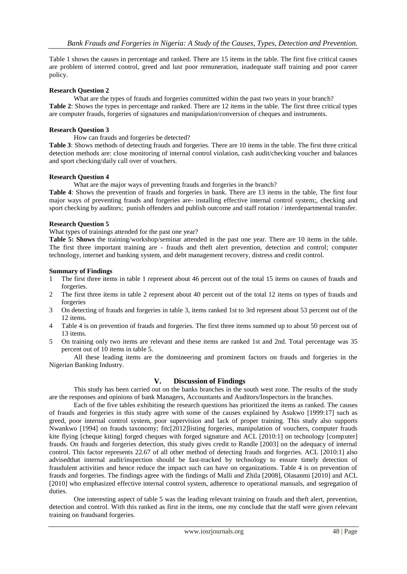Table 1 shows the causes in percentage and ranked. There are 15 items in the table. The first five critical causes are problem of interred control, greed and lust poor remuneration, inadequate staff training and poor career policy.

## **Research Question 2**

What are the types of frauds and forgeries committed within the past two years in your branch? **Table 2**: Shows the types in percentage and ranked. There are 12 items in the table. The first three critical types are computer frauds, forgeries of signatures and manipulation/conversion of cheques and instruments.

## **Research Question 3**

How can frauds and forgeries be detected?

**Table 3**: Shows methods of detecting frauds and forgeries. There are 10 items in the table. The first three critical detection methods are: close monitoring of internal control violation, cash audit/checking voucher and balances and sport checking/daily call over of vouchers.

## **Research Question 4**

What are the major ways of preventing frauds and forgeries in the branch?

**Table 4**: Shows the prevention of frauds and forgeries in bank. There are 13 items in the table, The first four major ways of preventing frauds and forgeries are- installing effective internal control system;, checking and sport checking by auditors; punish offenders and publish outcome and staff rotation / interdepartmental transfer.

## **Research Question 5**

What types of trainings attended for the past one year?

**Table 5: Shows** the training/workshop/seminar attended in the past one year. There are 10 items in the table. The first three important training are - frauds and theft alert prevention, detection and control; computer technology, internet and banking system, and debt management recovery, distress and credit control.

## **Summary of Findings**

- 1 The first three items in table 1 represent about 46 percent out of the total 15 items on causes of frauds and forgeries.
- 2 The first three items in table 2 represent about 40 percent out of the total 12 items on types of frauds and forgeries
- 3 On detecting of frauds and forgeries in table 3, items ranked 1st to 3rd represent about 53 percent out of the 12 items.
- 4 Table 4 is on prevention of frauds and forgeries. The first three items summed up to about 50 percent out of 13 items.
- 5 On training only two items are relevant and these items are ranked 1st and 2nd. Total percentage was 35 percent out of 10 items in table 5.

All these leading items are the domineering and prominent factors on frauds and forgeries in the Nigerian Banking Industry.

# **V. Discussion of Findings**

This study has been carried out on the banks branches in the south west zone. The results of the study are the responses and opinions of bank Managers, Accountants and Auditors/Inspectors in the branches.

Each of the five tables exhibiting the research questions has prioritized the items as ranked. The causes of frauds and forgeries in this study agree with some of the causes explained by Asukwo [1999:17] such as greed, poor internal control system, poor supervision and lack of proper training. This study also supports Nwankwo [1994] on frauds taxonomy; fitc[2012]listing forgeries, manipulation of vouchers, computer frauds kite flying [cheque kiting] forged cheques with forged signature and ACL [2010:1] on technology [computer] frauds. On frauds and forgeries detection, this study gives credit to Randle [2003] on the adequacy of internal control. This factor represents 22.67 of all other method of detecting frauds and forgeries. ACL [2010:1] also advisedthat internal audit/inspection should be fast-tracked by technology to ensure timely detection of fraudulent activities and hence reduce the impact such can have on organizations. Table 4 is on prevention of frauds and forgeries. The findings agree with the findings of Malli and Zhila [2008], Olasanmi [2010] and ACL [2010] who emphasized effective internal control system, adherence to operational manuals, and segregation of duties.

One interesting aspect of table 5 was the leading relevant training on frauds and theft alert, prevention, detection and control. With this ranked as first in the items, one my conclude that the staff were given relevant training on fraudsand forgeries.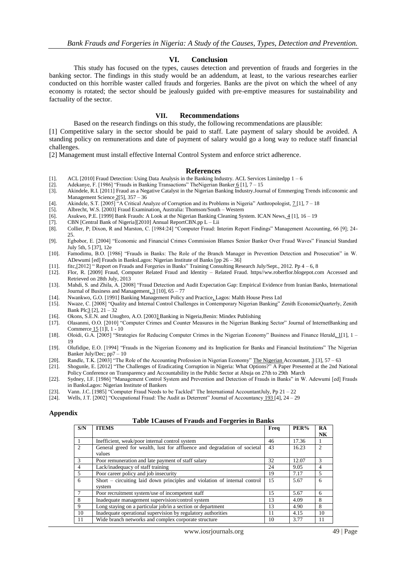#### **VI. Conclusion**

This study has focused on the types, causes detection and prevention of frauds and forgeries in the banking sector. The findings in this study would be an addendum, at least, to the various researches earlier conducted on this horrible waster called frauds and forgeries. Banks are the pivot on which the wheel of any economy is rotated; the sector should be jealously guided with pre-emptive measures for sustainability and factuality of the sector.

#### **VII. Recommendations**

Based on the research findings on this study, the following recommendations are plausible:

[1] Competitive salary in the sector should be paid to staff. Late payment of salary should be avoided. A standing policy on remunerations and date of payment of salary would go a long way to reduce staff financial challenges.

[2] Management must install effective Internal Control System and enforce strict adherence.

#### **References**

- [1]. ACL [2010] Fraud Detection: Using Data Analysis in the Banking Industry. ACL Services Limitedpp 1 6
- [2]. Adekanye, F. [1986] "Frauds in Banking Transactions" The Nigerian Banker 6 [1],  $7 15$  [3]. Akindele, R.I. [2011] Fraud as a Negative Catalyst in the Nigerian Banking Industry. Jour
- [3]. Akindele, R.I. [2011] Fraud as a Negative Catalyst in the Nigerian Banking Industry.Journal of Emmerging Trends inEconomic and Management Science 2[5], 357 – 36
- [4]. Akindele, S.T. [2005] "A Critical Analyze of Corruption and its Problems in Nigeria" Anthropologist,  $7[1]$ , 7 18
- [5]. Albrecht, W.S. [2003] Fraud Examination, Australia: Thomson/South Western [6]. Asukwo, P.E. [1999] Bank Frauds: A Look at the Nigerian Banking Cleaning Sy
- Asukwo, P.E. [1999] Bank Frauds: A Look at the Nigerian Banking Cleaning System. ICAN News, 4 [1], 16 19
- [7]. CBN [Central Bank of Nigeria][2010] Annual ReportCBN.pp L Lii
- [8]. Collier, P; Dixon, R and Marston, C. [1984:24] "Computer Fraud: Interim Report Findings" Management Accounting, 66 [9]; 24- 25.
- [9]. Egbobor, E. [2004] "Economic and Financial Crimes Commission Blames Senior Banker Over Fraud Waves" Financial Standard July 5th, 5 [37], 12e
- [10]. Famodimu, B.O. [1986] "Frauds in Banks: The Role of the Branch Manager in Prevention Detection and Prosecution" in W. ADewumi [ed] Frauds in BanksLagos: Nigerian Institute of Banks [pp 26 – 36]
- [11]. fitc.[2012] " Report on Frauds and Forgeries in Banks" Training Consulting Research July/Sept., 2012. Pp  $4 6$ , 8
- [12]. Flor, R. [2009] Fraud, Computer Related Fraud and Identity Related Fraud. https//ww.roberflor.blogepot.com Accessed and Retrieved on 28th July, 2013
- [13]. Mahdi, S. and Zhila, A. [2008] "Fraud Detection and Audit Expectation Gap: Empirical Evidence from Iranian Banks, International Journal of Business and Management,  $3$  [10],  $65 - 77$
- [14]. Nwankwo, G.O. [1991] Banking Management Policy and Practice, Lagos: Malth House Press Ltd
- [15]. Nwaze, C. [2008] "Quality and Internal Control Challenges in Contemporary Nigerian Banking" Zenith EconomicQuarterly, Zenith Bank Plc $\frac{3}{2}$ [2],  $21 - 32$
- [16]. Okons, S.E.N. and Unugbro, A.O. [2003] Banking in Nigeria,Benin: Mindex Publishing
- [17]. Olasanmi, O.O. [2010] "Computer Crimes and Counter Measures in the Nigerian Banking Sector" Journal of InternetBanking and Commerce 15 [1]l, 1 - 10
- [18]. Oloidi, G.A. [2005] "Strategies for Reducing Computer Crimes in the Nigerian Economy" Business and Finance Herald, 1[1], 1 19
- [19]. Olufidipe, E.O. [1994] "Frauds in the Nigerian Economy and its Implication for Banks and Financial Institutions" The Nigerian Banker July/Dec; pp7 – 10
- [20]. Randle, T.K. [2003] "The Role of the Accounting Profession in Nigerian Economy" The Nigerian Accountant, 3 [3], 57 63
- [21]. Shogunle, E. [2012] "The Challenges of Eradicating Corruption in Nigeria: What Options?" A Paper Presented at the 2nd National Policy Conference on Transparency and Accountability in the Public Sector at Abuja on 27th to 29th March
- [22]. Sydney, I.F. [1986] "Management Control System and Prevention and Detection of Frauds in Banks" in W. Adewumi [ed] Frauds in BanksLagos: Nigerian Institute of Bankers
- 
- [23]. Vann. J.C. [1985] "Computer Fraud Needs to be Tackled" The International AccountantJuly, Pp 21 22 [24]. Wells, J.T. [2002] "Occupational Fraud: The Audit as Deterrent" Journal of Accountancy 193 [4], 24 2 Wells, J.T. [2002] "Occupational Fraud: The Audit as Deterrent" Journal of Accountancy 193 [4], 24 – 29

#### **Appendix**

# **Table 1Causes of Frauds and Forgeries in Banks**

| S/N            | <b>ITEMS</b>                                                                        | Freq | PER%  | RA<br><b>NK</b> |
|----------------|-------------------------------------------------------------------------------------|------|-------|-----------------|
|                | Inefficient, weak/poor internal control system                                      | 46   | 17.36 |                 |
| $\mathfrak{D}$ | General greed for wealth, lust for affluence and degradation of societal<br>values  | 43   | 16.23 | 2               |
| $\mathcal{R}$  | Poor remuneration and late payment of staff salary                                  | 32   | 12.07 | 3               |
| 4              | Lack/inadequacy of staff training                                                   | 24   | 9.05  | 4               |
| 5              | Poor career policy and job insecurity                                               | 19   | 7.17  | 5               |
| 6              | Short – circuiting laid down principles and violation of internal control<br>system | 15   | 5.67  | 6               |
|                | Poor recruitment system/use of incompetent staff                                    | 15   | 5.67  | 6               |
| 8              | Inadequate management supervision/control system                                    | 13   | 4.09  | 8               |
| 9              | Long staying on a particular job/in a section or department                         | 13   | 4.90  | 8               |
| 10             | Inadequate operational supervision by regulatory authorities                        | 11   | 4.15  | 10              |
| 11             | Wide branch networks and complex corporate structure                                | 10   | 3.77  | 11              |